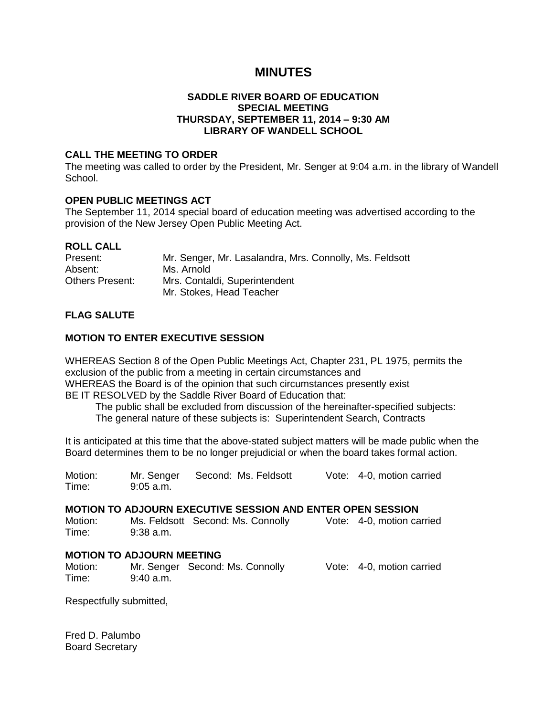# **MINUTES**

## **SADDLE RIVER BOARD OF EDUCATION SPECIAL MEETING THURSDAY, SEPTEMBER 11, 2014 – 9:30 AM LIBRARY OF WANDELL SCHOOL**

## **CALL THE MEETING TO ORDER**

The meeting was called to order by the President, Mr. Senger at 9:04 a.m. in the library of Wandell School.

## **OPEN PUBLIC MEETINGS ACT**

The September 11, 2014 special board of education meeting was advertised according to the provision of the New Jersey Open Public Meeting Act.

## **ROLL CALL**

| Present:               | Mr. Senger, Mr. Lasalandra, Mrs. Connolly, Ms. Feldsott |
|------------------------|---------------------------------------------------------|
| Absent:                | Ms. Arnold                                              |
| <b>Others Present:</b> | Mrs. Contaldi, Superintendent                           |
|                        | Mr. Stokes, Head Teacher                                |

## **FLAG SALUTE**

## **MOTION TO ENTER EXECUTIVE SESSION**

WHEREAS Section 8 of the Open Public Meetings Act, Chapter 231, PL 1975, permits the exclusion of the public from a meeting in certain circumstances and WHEREAS the Board is of the opinion that such circumstances presently exist BE IT RESOLVED by the Saddle River Board of Education that:

 The public shall be excluded from discussion of the hereinafter-specified subjects: The general nature of these subjects is: Superintendent Search, Contracts

It is anticipated at this time that the above-stated subject matters will be made public when the Board determines them to be no longer prejudicial or when the board takes formal action.

Motion: Mr. Senger Second: Ms. Feldsott Vote: 4-0, motion carried Time: 9:05 a.m.

## **MOTION TO ADJOURN EXECUTIVE SESSION AND ENTER OPEN SESSION**

Motion: Ms. Feldsott Second: Ms. Connolly Vote: 4-0, motion carried Time: 9:38 a.m.

## **MOTION TO ADJOURN MEETING**

Motion: Mr. Senger Second: Ms. Connolly Vote: 4-0, motion carried Time: 9:40 a.m.

Respectfully submitted,

Fred D. Palumbo Board Secretary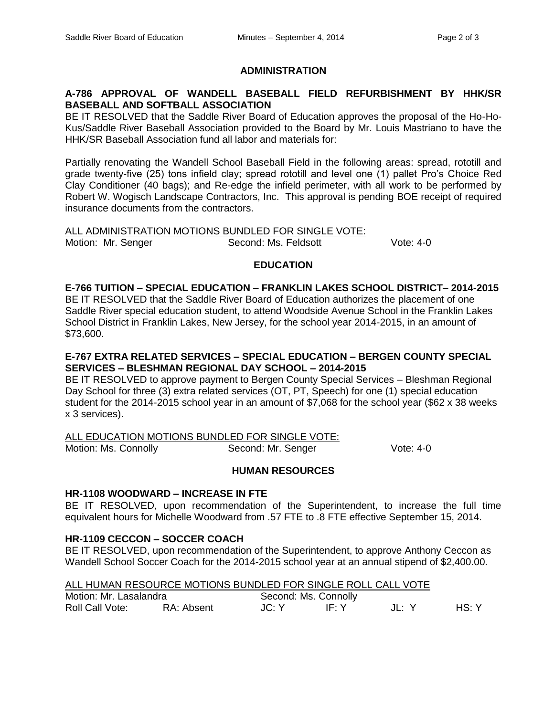## **ADMINISTRATION**

## **A-786 APPROVAL OF WANDELL BASEBALL FIELD REFURBISHMENT BY HHK/SR BASEBALL AND SOFTBALL ASSOCIATION**

BE IT RESOLVED that the Saddle River Board of Education approves the proposal of the Ho-Ho-Kus/Saddle River Baseball Association provided to the Board by Mr. Louis Mastriano to have the HHK/SR Baseball Association fund all labor and materials for:

Partially renovating the Wandell School Baseball Field in the following areas: spread, rototill and grade twenty-five (25) tons infield clay; spread rototill and level one (1) pallet Pro's Choice Red Clay Conditioner (40 bags); and Re-edge the infield perimeter, with all work to be performed by Robert W. Wogisch Landscape Contractors, Inc. This approval is pending BOE receipt of required insurance documents from the contractors.

ALL ADMINISTRATION MOTIONS BUNDLED FOR SINGLE VOTE: Motion: Mr. Senger Second: Ms. Feldsott Vote: 4-0

#### **EDUCATION**

#### **E-766 TUITION – SPECIAL EDUCATION – FRANKLIN LAKES SCHOOL DISTRICT– 2014-2015**

BE IT RESOLVED that the Saddle River Board of Education authorizes the placement of one Saddle River special education student, to attend Woodside Avenue School in the Franklin Lakes School District in Franklin Lakes, New Jersey, for the school year 2014-2015, in an amount of \$73,600.

## **E-767 EXTRA RELATED SERVICES – SPECIAL EDUCATION – BERGEN COUNTY SPECIAL SERVICES – BLESHMAN REGIONAL DAY SCHOOL – 2014-2015**

BE IT RESOLVED to approve payment to Bergen County Special Services – Bleshman Regional Day School for three (3) extra related services (OT, PT, Speech) for one (1) special education student for the 2014-2015 school year in an amount of \$7,068 for the school year (\$62 x 38 weeks x 3 services).

ALL EDUCATION MOTIONS BUNDLED FOR SINGLE VOTE:

Motion: Ms. Connolly **Second: Mr. Senger** Vote: 4-0

## **HUMAN RESOURCES**

## **HR-1108 WOODWARD – INCREASE IN FTE**

BE IT RESOLVED, upon recommendation of the Superintendent, to increase the full time equivalent hours for Michelle Woodward from .57 FTE to .8 FTE effective September 15, 2014.

## **HR-1109 CECCON – SOCCER COACH**

BE IT RESOLVED, upon recommendation of the Superintendent, to approve Anthony Ceccon as Wandell School Soccer Coach for the 2014-2015 school year at an annual stipend of \$2,400.00.

|--|

| Motion: Mr. Lasalandra |            | Second: Ms. Connolly |        |         |       |
|------------------------|------------|----------------------|--------|---------|-------|
| Roll Call Vote:        | RA: Absent | JC: Y                | –lF∙ Y | - JL: Y | HS: Y |